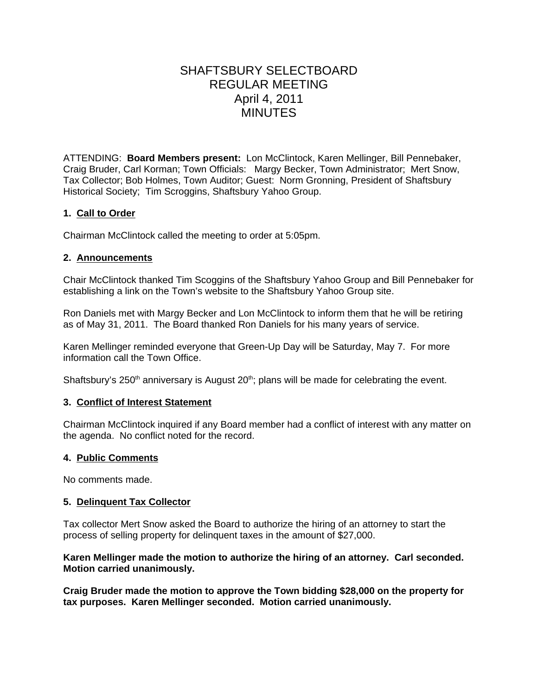# SHAFTSBURY SELECTBOARD REGULAR MEETING April 4, 2011 **MINUTES**

ATTENDING: **Board Members present:** Lon McClintock, Karen Mellinger, Bill Pennebaker, Craig Bruder, Carl Korman; Town Officials: Margy Becker, Town Administrator; Mert Snow, Tax Collector; Bob Holmes, Town Auditor; Guest: Norm Gronning, President of Shaftsbury Historical Society; Tim Scroggins, Shaftsbury Yahoo Group.

# **1. Call to Order**

Chairman McClintock called the meeting to order at 5:05pm.

## **2. Announcements**

Chair McClintock thanked Tim Scoggins of the Shaftsbury Yahoo Group and Bill Pennebaker for establishing a link on the Town's website to the Shaftsbury Yahoo Group site.

Ron Daniels met with Margy Becker and Lon McClintock to inform them that he will be retiring as of May 31, 2011. The Board thanked Ron Daniels for his many years of service.

Karen Mellinger reminded everyone that Green-Up Day will be Saturday, May 7. For more information call the Town Office.

Shaftsbury's  $250<sup>th</sup>$  anniversary is August  $20<sup>th</sup>$ ; plans will be made for celebrating the event.

## **3. Conflict of Interest Statement**

Chairman McClintock inquired if any Board member had a conflict of interest with any matter on the agenda. No conflict noted for the record.

## **4. Public Comments**

No comments made.

## **5. Delinquent Tax Collector**

Tax collector Mert Snow asked the Board to authorize the hiring of an attorney to start the process of selling property for delinquent taxes in the amount of \$27,000.

#### **Karen Mellinger made the motion to authorize the hiring of an attorney. Carl seconded. Motion carried unanimously.**

**Craig Bruder made the motion to approve the Town bidding \$28,000 on the property for tax purposes. Karen Mellinger seconded. Motion carried unanimously.**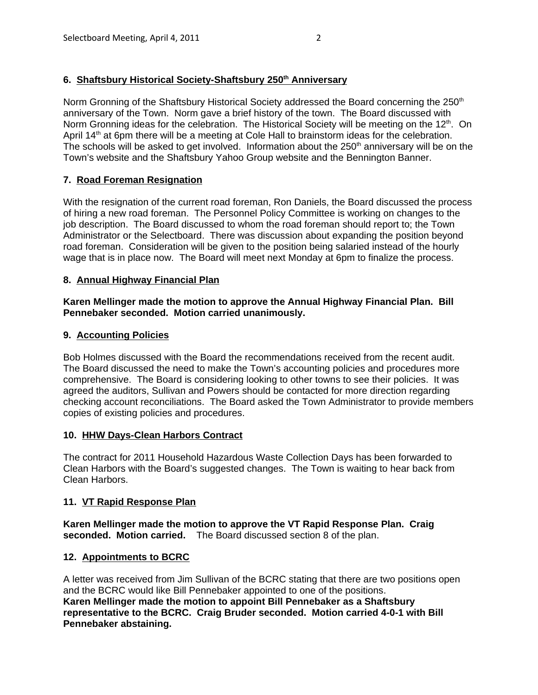# 6. Shaftsbury Historical Society-Shaftsbury 250<sup>th</sup> Anniversary

Norm Gronning of the Shaftsbury Historical Society addressed the Board concerning the 250<sup>th</sup> anniversary of the Town. Norm gave a brief history of the town. The Board discussed with Norm Gronning ideas for the celebration. The Historical Society will be meeting on the 12<sup>th</sup>. On April 14<sup>th</sup> at 6pm there will be a meeting at Cole Hall to brainstorm ideas for the celebration. The schools will be asked to get involved. Information about the  $250<sup>th</sup>$  anniversary will be on the Town's website and the Shaftsbury Yahoo Group website and the Bennington Banner.

# **7. Road Foreman Resignation**

With the resignation of the current road foreman, Ron Daniels, the Board discussed the process of hiring a new road foreman. The Personnel Policy Committee is working on changes to the job description. The Board discussed to whom the road foreman should report to; the Town Administrator or the Selectboard. There was discussion about expanding the position beyond road foreman. Consideration will be given to the position being salaried instead of the hourly wage that is in place now. The Board will meet next Monday at 6pm to finalize the process.

# **8. Annual Highway Financial Plan**

**Karen Mellinger made the motion to approve the Annual Highway Financial Plan. Bill Pennebaker seconded. Motion carried unanimously.**

## **9. Accounting Policies**

Bob Holmes discussed with the Board the recommendations received from the recent audit. The Board discussed the need to make the Town's accounting policies and procedures more comprehensive. The Board is considering looking to other towns to see their policies. It was agreed the auditors, Sullivan and Powers should be contacted for more direction regarding checking account reconciliations. The Board asked the Town Administrator to provide members copies of existing policies and procedures.

## **10. HHW Days-Clean Harbors Contract**

The contract for 2011 Household Hazardous Waste Collection Days has been forwarded to Clean Harbors with the Board's suggested changes. The Town is waiting to hear back from Clean Harbors.

## **11. VT Rapid Response Plan**

**Karen Mellinger made the motion to approve the VT Rapid Response Plan. Craig seconded. Motion carried.** The Board discussed section 8 of the plan.

## **12. Appointments to BCRC**

A letter was received from Jim Sullivan of the BCRC stating that there are two positions open and the BCRC would like Bill Pennebaker appointed to one of the positions. **Karen Mellinger made the motion to appoint Bill Pennebaker as a Shaftsbury representative to the BCRC. Craig Bruder seconded. Motion carried 4-0-1 with Bill Pennebaker abstaining.**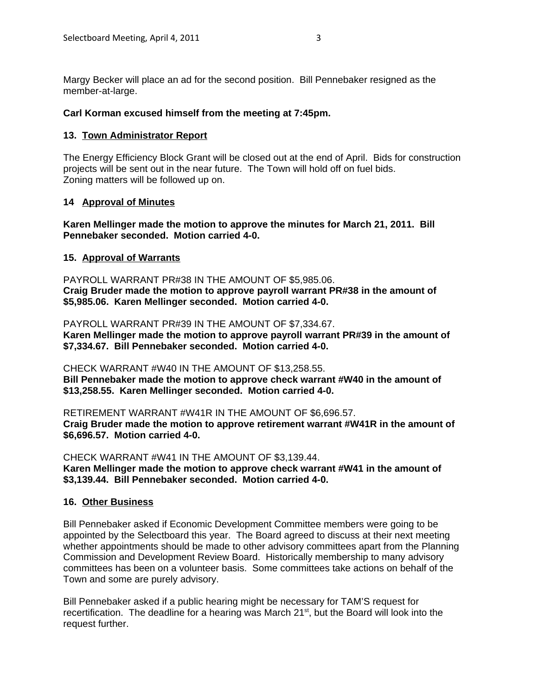Margy Becker will place an ad for the second position. Bill Pennebaker resigned as the member-at-large.

#### **Carl Korman excused himself from the meeting at 7:45pm.**

#### **13. Town Administrator Report**

The Energy Efficiency Block Grant will be closed out at the end of April. Bids for construction projects will be sent out in the near future. The Town will hold off on fuel bids. Zoning matters will be followed up on.

#### **14 Approval of Minutes**

#### **Karen Mellinger made the motion to approve the minutes for March 21, 2011. Bill Pennebaker seconded. Motion carried 4-0.**

#### **15. Approval of Warrants**

PAYROLL WARRANT PR#38 IN THE AMOUNT OF \$5,985.06. **Craig Bruder made the motion to approve payroll warrant PR#38 in the amount of \$5,985.06. Karen Mellinger seconded. Motion carried 4-0.**

PAYROLL WARRANT PR#39 IN THE AMOUNT OF \$7,334.67. **Karen Mellinger made the motion to approve payroll warrant PR#39 in the amount of \$7,334.67. Bill Pennebaker seconded. Motion carried 4-0.**

CHECK WARRANT #W40 IN THE AMOUNT OF \$13,258.55.

**Bill Pennebaker made the motion to approve check warrant #W40 in the amount of \$13,258.55. Karen Mellinger seconded. Motion carried 4-0.**

RETIREMENT WARRANT #W41R IN THE AMOUNT OF \$6,696.57. **Craig Bruder made the motion to approve retirement warrant #W41R in the amount of \$6,696.57. Motion carried 4-0.**

CHECK WARRANT #W41 IN THE AMOUNT OF \$3,139.44. **Karen Mellinger made the motion to approve check warrant #W41 in the amount of \$3,139.44. Bill Pennebaker seconded. Motion carried 4-0.**

#### **16. Other Business**

Bill Pennebaker asked if Economic Development Committee members were going to be appointed by the Selectboard this year. The Board agreed to discuss at their next meeting whether appointments should be made to other advisory committees apart from the Planning Commission and Development Review Board. Historically membership to many advisory committees has been on a volunteer basis. Some committees take actions on behalf of the Town and some are purely advisory.

Bill Pennebaker asked if a public hearing might be necessary for TAM'S request for recertification. The deadline for a hearing was March 21<sup>st</sup>, but the Board will look into the request further.